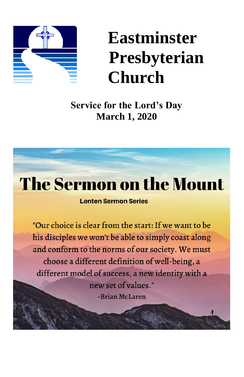

# **Eastminster Presbyterian Church**

**Service for the Lord's Day March 1, 2020**

# **The Sermon on the Mount**

#### **Lenten Sermon Series**

"Our choice is clear from the start: If we want to be his disciples we won't be able to simply coast along and conform to the norms of our society. We must choose a different definition of well-being, a different model of success, a new identity with a new set of values." -Brian McLaren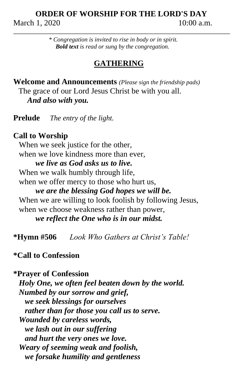## **ORDER OF WORSHIP FOR THE LORD'S DAY** March 1, 2020 10:00 a.m.

*\* Congregation is invited to rise in body or in spirit. Bold text is read or sung by the congregation.*

## **GATHERING**

**Welcome and Announcements** *(Please sign the friendship pads)* The grace of our Lord Jesus Christ be with you all. *And also with you.*

**Prelude** *The entry of the light.*

## **Call to Worship**

When we seek justice for the other, when we love kindness more than ever. *we live as God asks us to live.* When we walk humbly through life, when we offer mercy to those who hurt us, *we are the blessing God hopes we will be.* When we are willing to look foolish by following Jesus, when we choose weakness rather than power, *we reflect the One who is in our midst.*

**\*Hymn #506** *Look Who Gathers at Christ's Table!*

**\*Call to Confession**

**\*Prayer of Confession** *Holy One, we often feel beaten down by the world. Numbed by our sorrow and grief, we seek blessings for ourselves rather than for those you call us to serve. Wounded by careless words, we lash out in our suffering and hurt the very ones we love. Weary of seeming weak and foolish, we forsake humility and gentleness*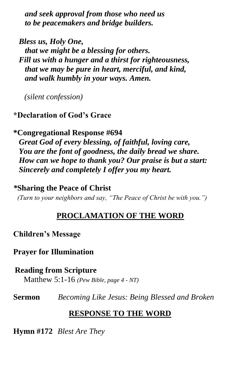*and seek approval from those who need us to be peacemakers and bridge builders.*

*Bless us, Holy One, that we might be a blessing for others. Fill us with a hunger and a thirst for righteousness, that we may be pure in heart, merciful, and kind, and walk humbly in your ways. Amen.*

*(silent confession)*

# **\*Declaration of God's Grace**

# **\*Congregational Response #694**

*Great God of every blessing, of faithful, loving care, You are the font of goodness, the daily bread we share. How can we hope to thank you? Our praise is but a start: Sincerely and completely I offer you my heart.*

# *\****Sharing the Peace of Christ**

*(Turn to your neighbors and say, "The Peace of Christ be with you.")*

# **PROCLAMATION OF THE WORD**

# **Children's Message**

# **Prayer for Illumination**

# **Reading from Scripture**

Matthew 5:1-16 *(Pew Bible, page 4 - NT)*

**Sermon** *Becoming Like Jesus: Being Blessed and Broken*

# **RESPONSE TO THE WORD**

**Hymn #172** *Blest Are They*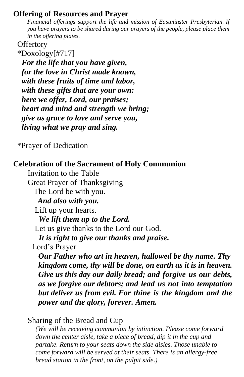## **Offering of Resources and Prayer**

*Financial offerings support the life and mission of Eastminster Presbyterian. If you have prayers to be shared during our prayers of the people, please place them in the offering plates.*

#### **Offertory**

 \*Doxology[#717] *For the life that you have given, for the love in Christ made known, with these fruits of time and labor, with these gifts that are your own: here we offer, Lord, our praises; heart and mind and strength we bring; give us grace to love and serve you, living what we pray and sing.*

\*Prayer of Dedication

# **Celebration of the Sacrament of Holy Communion**

Invitation to the Table Great Prayer of Thanksgiving The Lord be with you. *And also with you.* Lift up your hearts. *We lift them up to the Lord.* Let us give thanks to the Lord our God. *It is right to give our thanks and praise.* Lord's Prayer

*Our Father who art in heaven, hallowed be thy name. Thy kingdom come, thy will be done, on earth as it is in heaven. Give us this day our daily bread; and forgive us our debts, as we forgive our debtors; and lead us not into temptation but deliver us from evil. For thine is the kingdom and the power and the glory, forever. Amen.*

Sharing of the Bread and Cup

*(We will be receiving communion by intinction. Please come forward down the center aisle, take a piece of bread, dip it in the cup and partake. Return to your seats down the side aisles. Those unable to come forward will be served at their seats. There is an allergy-free bread station in the front, on the pulpit side.)*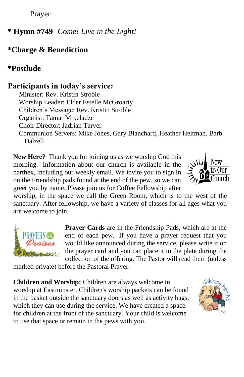Prayer

**\* Hymn #749** *Come! Live in the Light!*

# **\*Charge & Benediction**

# **\*Postlude**

# **Participants in today's service:**

Minister: Rev. Kristin Stroble Worship Leader: Elder Estelle McGroarty Children's Message: Rev. Kristin Stroble Organist: Tamar Mikeladze Choir Director: Jadrian Tarver Communion Servers: Mike Jones, Gary Blanchard, Heather Heitman, Barb Dalzell

**New Here?** Thank you for joining us as we worship God this morning. Information about our church is available in the narthex, including our weekly email. We invite you to sign in on the Friendship pads found at the end of the pew, so we can greet you by name. Please join us for Coffee Fellowship after



worship, in the space we call the Green Room, which is to the west of the sanctuary. After fellowship, we have a variety of classes for all ages what you are welcome to join.



**Prayer Cards** are in the Friendship Pads, which are at the end of each pew. If you have a prayer request that you would like announced during the service, please write it on the prayer card and you can place it in the plate during the collection of the offering. The Pastor will read them (unless

marked private) before the Pastoral Prayer.

**Children and Worship:** Children are always welcome in worship at Eastminster. Children's worship packets can be found in the basket outside the sanctuary doors as well as activity bags, which they can use during the service. We have created a space for children at the front of the sanctuary. Your child is welcome to use that space or remain in the pews with you.

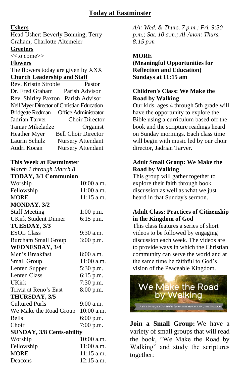#### **Ushers**

Head Usher: Beverly Bonning; Terry Graham, Charlotte Altemeier **Greeters**

<<to come>>

#### **Flowers**

The flowers today are given by XXX **Church Leadership and Staff**

Rev. Kristin Stroble Pastor Dr. Fred Graham Parish Advisor Rev. Shirley Paxton Parish Advisor Neil Myer Director of Christian Education Bridgette Redman Office Administrator Jadrian Tarver Choir Director Tamar Mikeladze Organist Heather Myer Bell Choir Director Laurin Schulz Nursery Attendant Audri Kocan Nursery Attendant

#### **This Week at Eastminster** *March 1 through March 8*

| muren 1 mrough muren o           |              |
|----------------------------------|--------------|
| <b>TODAY, 3/1 Communion</b>      |              |
| Worship                          | $10:00$ a.m. |
| Fellowship                       | 11:00 a.m.   |
| <b>MORE</b>                      | $11:15$ a.m. |
| MONDAY, 3/2                      |              |
| <b>Staff Meeting</b>             | $1:00$ p.m.  |
| <b>UKirk Student Dinner</b>      | 6:15 p.m.    |
| TUESDAY, 3/3                     |              |
| <b>ESOL Class</b>                | 9:30 a.m.    |
| <b>Burcham Small Group</b>       | $3:00$ p.m.  |
| <b>WEDNESDAY, 3/4</b>            |              |
| Men's Breakfast                  | 8:00 a.m.    |
| Small Group                      | 11:00 a.m.   |
| Lenten Supper                    | 5:30 p.m.    |
| <b>Lenten Class</b>              | 6:15 p.m.    |
| <b>UKirk</b>                     | 7:30 p.m.    |
| Trivia at Reno's East            | 8:00 p.m.    |
| THURSDAY, 3/5                    |              |
| <b>Cultured Purls</b>            | $9:00$ a.m.  |
| We Make the Road Group           | 10:00 a.m.   |
| <b>Bells</b>                     | 6:00 p.m.    |
| Choir                            | 7:00 p.m.    |
| <b>SUNDAY, 3/8 Cents-ability</b> |              |
| Worship                          | 10:00 a.m.   |
| Fellowship                       | 11:00 a.m.   |
| MORE                             | 11:15 a.m.   |
| Deacons                          | 12:15 a.m.   |

*AA: Wed. & Thurs. 7 p.m.; Fri. 9:30 p.m.; Sat. 10 a.m.; Al-Anon: Thurs. 8:15 p.m*

#### **MORE**

**(Meaningful Opportunities for Reflection and Education) Sundays at 11:15 am**

#### **Children's Class: We Make the Road by Walking**

Our kids, ages 4 through 5th grade will have the opportunity to explore the Bible using a curriculum based off the book and the scripture readings heard on Sunday mornings. Each class time will begin with music led by our choir director, Jadrian Tarver.

#### **Adult Small Group: We Make the Road by Walking**

This group will gather together to explore their faith through book discussion as well as what we just heard in that Sunday's sermon.

#### **Adult Class: Practices of Citizenship in the Kingdom of God**

This class features a series of short videos to be followed by engaging discussion each week. The videos are to provide ways in which the Christian community can serve the world and at the same time be faithful to God's vision of the Peaceable Kingdom.



**Join a Small Group:** We have a variety of small groups that will read the book, "We Make the Road by Walking" and study the scriptures together: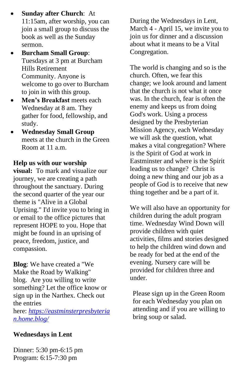- **Sunday after Church**: At 11:15am, after worship, you can join a small group to discuss the book as well as the Sunday sermon.
- **Burcham Small Group**: Tuesdays at 3 pm at Burcham Hills Retirement Community. Anyone is welcome to go over to Burcham to join in with this group.
- **Men's Breakfast** meets each Wednesday at 8 am. They gather for food, fellowship, and study.
- **Wednesday Small Group** meets at the church in the Green Room at 11 a.m.

#### **Help us with our worship**

**visual:** To mark and visualize our journey, we are creating a path throughout the sanctuary. During the second quarter of the year our theme is "Alive in a Global Uprising." I'd invite you to bring in or email to the office pictures that represent HOPE to you. Hope that might be found in an uprising of peace, freedom, justice, and compassion.

**Blog**: We have created a "We Make the Road by Walking" blog. Are you willing to write something? Let the office know or sign up in the Narthex. Check out the entries

here: *[https://eastminsterpresbyteria](https://eastminsterpresbyterian.home.blog/) [n.home.blog/](https://eastminsterpresbyterian.home.blog/)*

#### **Wednesdays in Lent**

Dinner: 5:30 pm-6:15 pm Program: 6:15-7:30 pm

During the Wednesdays in Lent, March 4 - April 15, we invite you to join us for dinner and a discussion about what it means to be a Vital Congregation.

The world is changing and so is the church. Often, we fear this change; we look around and lament that the church is not what it once was. In the church, fear is often the enemy and keeps us from doing God's work. Using a process designed by the Presbyterian Mission Agency, each Wednesday we will ask the question, what makes a vital congregation? Where is the Spirit of God at work in Eastminster and where is the Spirit leading us to change? Christ is doing a new thing and our job as a people of God is to receive that new thing together and be a part of it.

We will also have an opportunity for children during the adult program time. Wednesday Wind Down will provide children with quiet activities, films and stories designed to help the children wind down and be ready for bed at the end of the evening. Nursery care will be provided for children three and under.

Please sign up in the Green Room for each Wednesday you plan on attending and if you are willing to bring soup or salad.